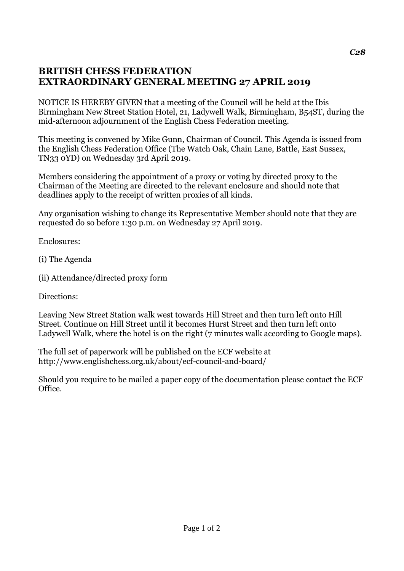## **BRITISH CHESS FEDERATION EXTRAORDINARY GENERAL MEETING 27 APRIL 2019**

NOTICE IS HEREBY GIVEN that a meeting of the Council will be held at the Ibis Birmingham New Street Station Hotel, 21, Ladywell Walk, Birmingham, B54ST, during the mid-afternoon adjournment of the English Chess Federation meeting.

This meeting is convened by Mike Gunn, Chairman of Council. This Agenda is issued from the English Chess Federation Office (The Watch Oak, Chain Lane, Battle, East Sussex, TN33 0YD) on Wednesday 3rd April 2019.

Members considering the appointment of a proxy or voting by directed proxy to the Chairman of the Meeting are directed to the relevant enclosure and should note that deadlines apply to the receipt of written proxies of all kinds.

Any organisation wishing to change its Representative Member should note that they are requested do so before 1:30 p.m. on Wednesday 27 April 2019.

Enclosures:

- (i) The Agenda
- (ii) Attendance/directed proxy form

Directions:

Leaving New Street Station walk west towards Hill Street and then turn left onto Hill Street. Continue on Hill Street until it becomes Hurst Street and then turn left onto Ladywell Walk, where the hotel is on the right (7 minutes walk according to Google maps).

The full set of paperwork will be published on the ECF website at http://www.englishchess.org.uk/about/ecf-council-and-board/

Should you require to be mailed a paper copy of the documentation please contact the ECF Office.